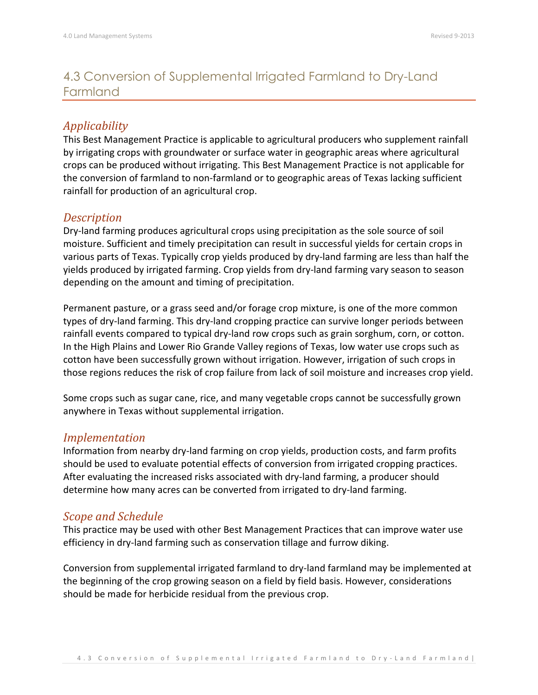# 4.3 Conversion of Supplemental Irrigated Farmland to Dry-Land Farmland

## *Applicability*

This Best Management Practice is applicable to agricultural producers who supplement rainfall by irrigating crops with groundwater or surface water in geographic areas where agricultural crops can be produced without irrigating. This Best Management Practice is not applicable for the conversion of farmland to non-farmland or to geographic areas of Texas lacking sufficient rainfall for production of an agricultural crop.

#### *Description*

Dry-land farming produces agricultural crops using precipitation as the sole source of soil moisture. Sufficient and timely precipitation can result in successful yields for certain crops in various parts of Texas. Typically crop yields produced by dry-land farming are less than half the yields produced by irrigated farming. Crop yields from dry-land farming vary season to season depending on the amount and timing of precipitation.

Permanent pasture, or a grass seed and/or forage crop mixture, is one of the more common types of dry-land farming. This dry-land cropping practice can survive longer periods between rainfall events compared to typical dry-land row crops such as grain sorghum, corn, or cotton. In the High Plains and Lower Rio Grande Valley regions of Texas, low water use crops such as cotton have been successfully grown without irrigation. However, irrigation of such crops in those regions reduces the risk of crop failure from lack of soil moisture and increases crop yield.

Some crops such as sugar cane, rice, and many vegetable crops cannot be successfully grown anywhere in Texas without supplemental irrigation.

#### *Implementation*

Information from nearby dry-land farming on crop yields, production costs, and farm profits should be used to evaluate potential effects of conversion from irrigated cropping practices. After evaluating the increased risks associated with dry-land farming, a producer should determine how many acres can be converted from irrigated to dry-land farming.

#### *Scope and Schedule*

This practice may be used with other Best Management Practices that can improve water use efficiency in dry-land farming such as conservation tillage and furrow diking.

Conversion from supplemental irrigated farmland to dry-land farmland may be implemented at the beginning of the crop growing season on a field by field basis. However, considerations should be made for herbicide residual from the previous crop.